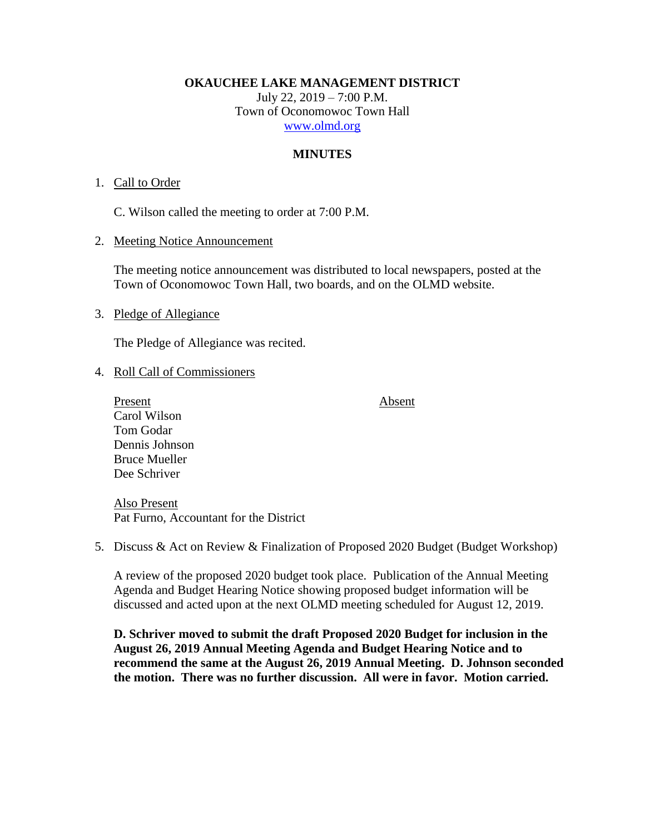**OKAUCHEE LAKE MANAGEMENT DISTRICT**

July 22, 2019 – 7:00 P.M. Town of Oconomowoc Town Hall [www.olmd.org](http://www.olmd.org/)

## **MINUTES**

## 1. Call to Order

C. Wilson called the meeting to order at 7:00 P.M.

2. Meeting Notice Announcement

The meeting notice announcement was distributed to local newspapers, posted at the Town of Oconomowoc Town Hall, two boards, and on the OLMD website.

## 3. Pledge of Allegiance

The Pledge of Allegiance was recited.

## 4. Roll Call of Commissioners

Present Absent Carol Wilson Tom Godar Dennis Johnson Bruce Mueller Dee Schriver

Also Present Pat Furno, Accountant for the District

5. Discuss & Act on Review & Finalization of Proposed 2020 Budget (Budget Workshop)

A review of the proposed 2020 budget took place. Publication of the Annual Meeting Agenda and Budget Hearing Notice showing proposed budget information will be discussed and acted upon at the next OLMD meeting scheduled for August 12, 2019.

**D. Schriver moved to submit the draft Proposed 2020 Budget for inclusion in the August 26, 2019 Annual Meeting Agenda and Budget Hearing Notice and to recommend the same at the August 26, 2019 Annual Meeting. D. Johnson seconded the motion. There was no further discussion. All were in favor. Motion carried.**